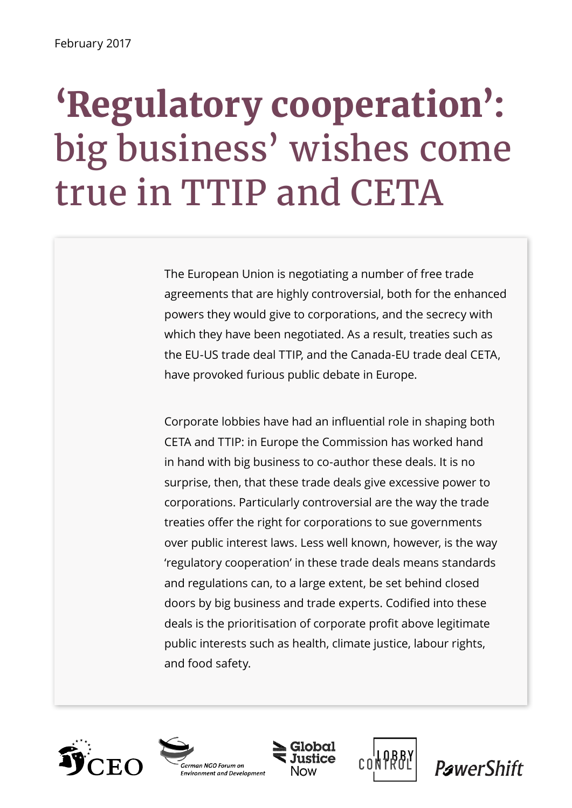# **'Regulatory cooperation':**  big business' wishes come true in TTIP and CETA

The European Union is negotiating a number of free trade agreements that are highly controversial, both for the enhanced powers they would give to corporations, and the secrecy with which they have been negotiated. As a result, treaties such as the EU-US trade deal TTIP, and the Canada-EU trade deal CETA, have provoked furious public debate in Europe.

Corporate lobbies have had an influential role in shaping both CETA and TTIP: in Europe the Commission has worked hand in hand with big business to co-author these deals. It is no surprise, then, that these trade deals give excessive power to corporations. Particularly controversial are the way the trade treaties offer the right for corporations to sue governments over public interest laws. Less well known, however, is the way 'regulatory cooperation' in these trade deals means standards and regulations can, to a large extent, be set behind closed doors by big business and trade experts. Codified into these deals is the prioritisation of corporate profit above legitimate public interests such as health, climate justice, labour rights, and food safety.









**PawerShift**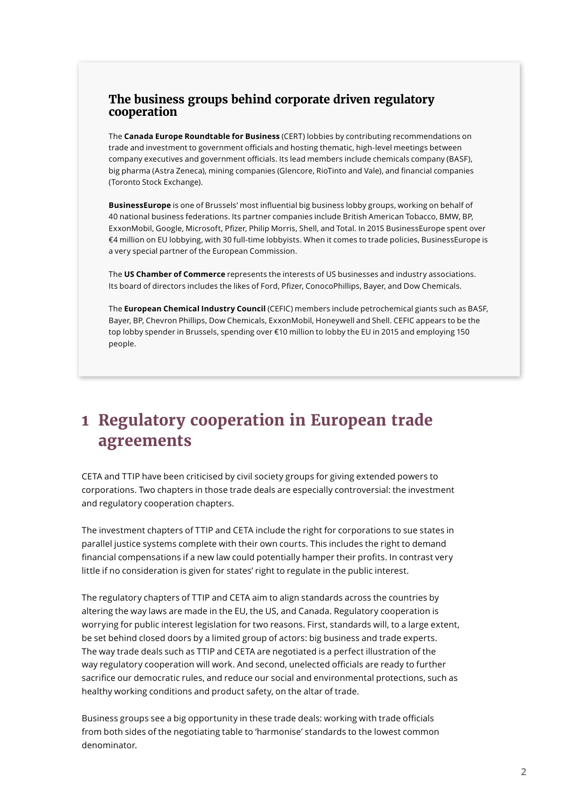#### **The business groups behind corporate driven regulatory cooperation**

The **Canada Europe Roundtable for Business** (CERT) lobbies by contributing recommendations on trade and investment to government officials and hosting thematic, high-level meetings between company executives and government officials. Its lead members include chemicals company (BASF), big pharma (Astra Zeneca), mining companies (Glencore, RioTinto and Vale), and financial companies (Toronto Stock Exchange).

**BusinessEurope** is one of Brussels' most influential big business lobby groups, working on behalf of 40 national business federations. Its partner companies include British American Tobacco, BMW, BP, ExxonMobil, Google, Microsoft, Pfizer, Philip Morris, Shell, and Total. In 2015 BusinessEurope spent over €4 million on EU lobbying, with 30 full-time lobbyists. When it comes to trade policies, BusinessEurope is a very special partner of the European Commission.

The **US Chamber of Commerce** represents the interests of US businesses and industry associations. Its board of directors includes the likes of Ford, Pfizer, ConocoPhillips, Bayer, and Dow Chemicals.

The **European Chemical Industry Council** (CEFIC) members include petrochemical giants such as BASF, Bayer, BP, Chevron Phillips, Dow Chemicals, ExxonMobil, Honeywell and Shell. CEFIC appears to be the top lobby spender in Brussels, spending over €10 million to lobby the EU in 2015 and employing 150 people.

# **1 Regulatory cooperation in European trade agreements**

CETA and TTIP have been criticised by civil society groups for giving extended powers to corporations. Two chapters in those trade deals are especially controversial: the investment and regulatory cooperation chapters.

The investment chapters of TTIP and CETA include the right for corporations to sue states in parallel justice systems complete with their own courts. This includes the right to demand financial compensations if a new law could potentially hamper their profits. In contrast very little if no consideration is given for states' right to regulate in the public interest.

The regulatory chapters of TTIP and CETA aim to align standards across the countries by altering the way laws are made in the EU, the US, and Canada. Regulatory cooperation is worrying for public interest legislation for two reasons. First, standards will, to a large extent, be set behind closed doors by a limited group of actors: big business and trade experts. The way trade deals such as TTIP and CETA are negotiated is a perfect illustration of the way regulatory cooperation will work. And second, unelected officials are ready to further sacrifice our democratic rules, and reduce our social and environmental protections, such as healthy working conditions and product safety, on the altar of trade.

Business groups see a big opportunity in these trade deals: working with trade officials from both sides of the negotiating table to 'harmonise' standards to the lowest common denominator.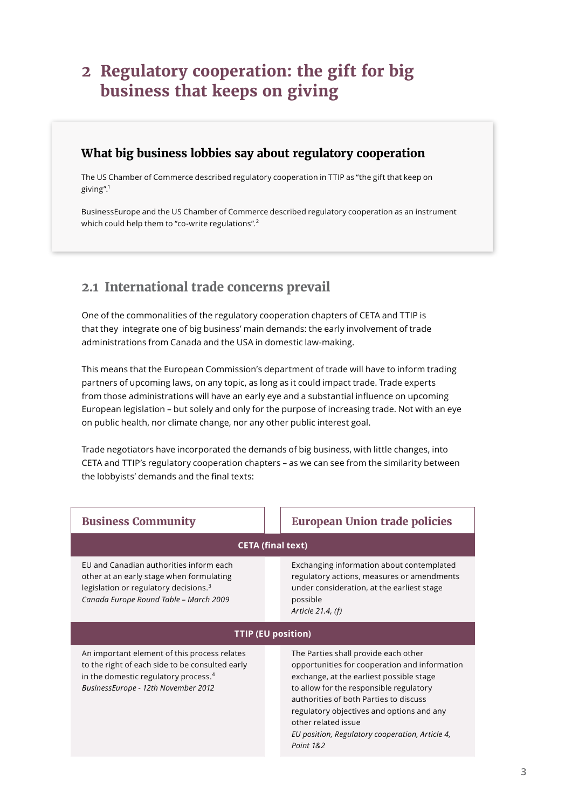# **2 Regulatory cooperation: the gift for big business that keeps on giving**

#### **What big business lobbies say about regulatory cooperation**

The US Chamber of Commerce described regulatory cooperation in TTIP as "the gift that keep on giving".1

BusinessEurope and the US Chamber of Commerce described regulatory cooperation as an instrument which could help them to "co-write regulations".<sup>2</sup>

## **2.1 International trade concerns prevail**

One of the commonalities of the regulatory cooperation chapters of CETA and TTIP is that they integrate one of big business' main demands: the early involvement of trade administrations from Canada and the USA in domestic law-making.

This means that the European Commission's department of trade will have to inform trading partners of upcoming laws, on any topic, as long as it could impact trade. Trade experts from those administrations will have an early eye and a substantial influence on upcoming European legislation – but solely and only for the purpose of increasing trade. Not with an eye on public health, nor climate change, nor any other public interest goal.

Trade negotiators have incorporated the demands of big business, with little changes, into CETA and TTIP's regulatory cooperation chapters – as we can see from the similarity between the lobbyists' demands and the final texts:

| <b>Business Community</b>                                                                                                                                                                  |  | <b>European Union trade policies</b>                                                                                                                                                                                                                                                                                                                       |
|--------------------------------------------------------------------------------------------------------------------------------------------------------------------------------------------|--|------------------------------------------------------------------------------------------------------------------------------------------------------------------------------------------------------------------------------------------------------------------------------------------------------------------------------------------------------------|
| <b>CETA (final text)</b>                                                                                                                                                                   |  |                                                                                                                                                                                                                                                                                                                                                            |
| EU and Canadian authorities inform each<br>other at an early stage when formulating<br>legislation or regulatory decisions. <sup>3</sup><br>Canada Europe Round Table - March 2009         |  | Exchanging information about contemplated<br>regulatory actions, measures or amendments<br>under consideration, at the earliest stage<br>possible<br>Article 21.4, (f)                                                                                                                                                                                     |
| <b>TTIP (EU position)</b>                                                                                                                                                                  |  |                                                                                                                                                                                                                                                                                                                                                            |
| An important element of this process relates<br>to the right of each side to be consulted early<br>in the domestic regulatory process. <sup>4</sup><br>BusinessEurope - 12th November 2012 |  | The Parties shall provide each other<br>opportunities for cooperation and information<br>exchange, at the earliest possible stage<br>to allow for the responsible regulatory<br>authorities of both Parties to discuss<br>regulatory objectives and options and any<br>other related issue<br>EU position, Regulatory cooperation, Article 4,<br>Point 1&2 |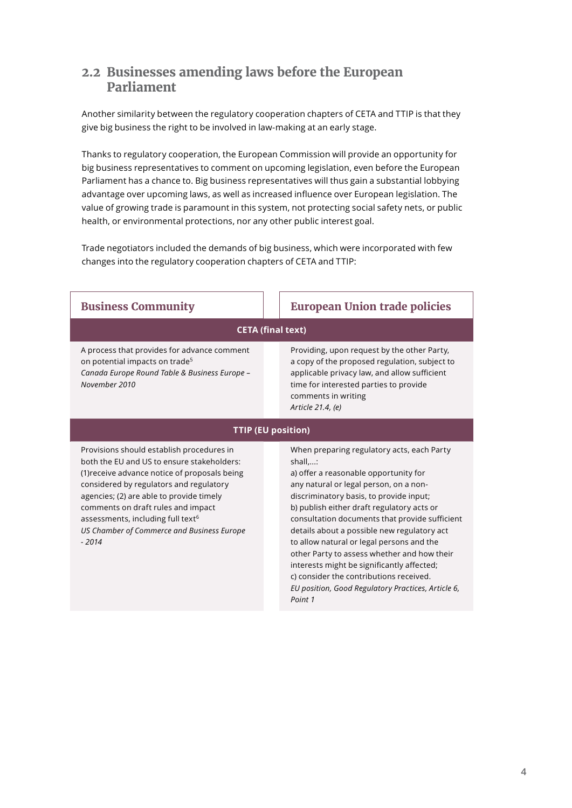### **2.2 Businesses amending laws before the European Parliament**

Another similarity between the regulatory cooperation chapters of CETA and TTIP is that they give big business the right to be involved in law-making at an early stage.

Thanks to regulatory cooperation, the European Commission will provide an opportunity for big business representatives to comment on upcoming legislation, even before the European Parliament has a chance to. Big business representatives will thus gain a substantial lobbying advantage over upcoming laws, as well as increased influence over European legislation. The value of growing trade is paramount in this system, not protecting social safety nets, or public health, or environmental protections, nor any other public interest goal.

Trade negotiators included the demands of big business, which were incorporated with few changes into the regulatory cooperation chapters of CETA and TTIP:

| <b>Business Community</b>                                                                                                                                                                                                                                                                                                                                                       | <b>European Union trade policies</b>                                                                                                                                                                                                                                                                                                                                                                                                                                                                                                                                          |  |
|---------------------------------------------------------------------------------------------------------------------------------------------------------------------------------------------------------------------------------------------------------------------------------------------------------------------------------------------------------------------------------|-------------------------------------------------------------------------------------------------------------------------------------------------------------------------------------------------------------------------------------------------------------------------------------------------------------------------------------------------------------------------------------------------------------------------------------------------------------------------------------------------------------------------------------------------------------------------------|--|
| <b>CETA (final text)</b>                                                                                                                                                                                                                                                                                                                                                        |                                                                                                                                                                                                                                                                                                                                                                                                                                                                                                                                                                               |  |
| A process that provides for advance comment<br>on potential impacts on trade <sup>5</sup><br>Canada Europe Round Table & Business Europe -<br>November 2010                                                                                                                                                                                                                     | Providing, upon request by the other Party,<br>a copy of the proposed regulation, subject to<br>applicable privacy law, and allow sufficient<br>time for interested parties to provide<br>comments in writing<br>Article 21.4, (e)                                                                                                                                                                                                                                                                                                                                            |  |
| <b>TTIP (EU position)</b>                                                                                                                                                                                                                                                                                                                                                       |                                                                                                                                                                                                                                                                                                                                                                                                                                                                                                                                                                               |  |
| Provisions should establish procedures in<br>both the EU and US to ensure stakeholders:<br>(1) receive advance notice of proposals being<br>considered by regulators and regulatory<br>agencies; (2) are able to provide timely<br>comments on draft rules and impact<br>assessments, including full text <sup>6</sup><br>US Chamber of Commerce and Business Europe<br>$-2014$ | When preparing regulatory acts, each Party<br>shall,:<br>a) offer a reasonable opportunity for<br>any natural or legal person, on a non-<br>discriminatory basis, to provide input;<br>b) publish either draft regulatory acts or<br>consultation documents that provide sufficient<br>details about a possible new regulatory act<br>to allow natural or legal persons and the<br>other Party to assess whether and how their<br>interests might be significantly affected;<br>c) consider the contributions received.<br>EU position, Good Regulatory Practices, Article 6, |  |

*Point 1*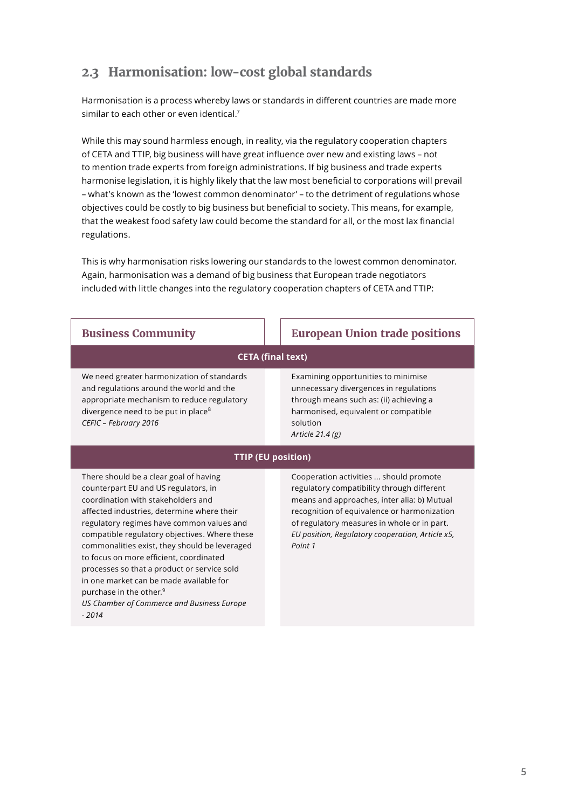## **2.3 Harmonisation: low-cost global standards**

Harmonisation is a process whereby laws or standards in different countries are made more similar to each other or even identical.<sup>7</sup>

While this may sound harmless enough, in reality, via the regulatory cooperation chapters of CETA and TTIP, big business will have great influence over new and existing laws – not to mention trade experts from foreign administrations. If big business and trade experts harmonise legislation, it is highly likely that the law most beneficial to corporations will prevail – what's known as the 'lowest common denominator' – to the detriment of regulations whose objectives could be costly to big business but beneficial to society. This means, for example, that the weakest food safety law could become the standard for all, or the most lax financial regulations.

This is why harmonisation risks lowering our standards to the lowest common denominator. Again, harmonisation was a demand of big business that European trade negotiators included with little changes into the regulatory cooperation chapters of CETA and TTIP:

| <b>Business Community</b>                                                                                                                                                                                        | <b>European Union trade positions</b>                                                                                                                                                             |  |
|------------------------------------------------------------------------------------------------------------------------------------------------------------------------------------------------------------------|---------------------------------------------------------------------------------------------------------------------------------------------------------------------------------------------------|--|
| <b>CETA (final text)</b>                                                                                                                                                                                         |                                                                                                                                                                                                   |  |
| We need greater harmonization of standards<br>and regulations around the world and the<br>appropriate mechanism to reduce regulatory<br>divergence need to be put in place <sup>8</sup><br>CEFIC - February 2016 | Examining opportunities to minimise<br>unnecessary divergences in regulations<br>through means such as: (ii) achieving a<br>harmonised, equivalent or compatible<br>solution<br>Article $21.4(g)$ |  |
| <b>TTIP (EU position)</b>                                                                                                                                                                                        |                                                                                                                                                                                                   |  |
| There should be a clear goal of having<br>counterpart EU and US regulators, in                                                                                                                                   | Cooperation activities  should promote<br>regulatory compatibility through different                                                                                                              |  |

coordination with stakeholders and affected industries, determine where their regulatory regimes have common values and compatible regulatory objectives. Where these commonalities exist, they should be leveraged to focus on more efficient, coordinated processes so that a product or service sold in one market can be made available for purchase in the other.<sup>9</sup> *US Chamber of Commerce and Business Europe* 

*- 2014*

means and approaches, inter alia: b) Mutual recognition of equivalence or harmonization of regulatory measures in whole or in part. *EU position, Regulatory cooperation, Article x5, Point 1*